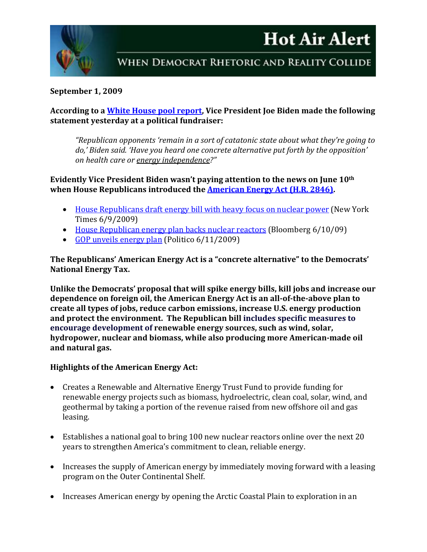# **Hot Air Alert**



### **September 1, 2009**

### **According to a [White House pool report,](http://www.swamppolitics.com/news/politics/blog/2009/08/biden_gop_shooting_but_if_they.html) Vice President Joe Biden made the following statement yesterday at a political fundraiser:**

*"Republican opponents 'remain in a sort of catatonic state about what they're going to do,' Biden said. 'Have you heard one concrete alternative put forth by the opposition' on health care or energy independence?"*

# **Evidently Vice President Biden wasn't paying attention to the news on June 10th when House Republicans introduced the [American Energy Act \(H.R. 2846\).](http://www.gop.gov/energy)**

- [House Republicans draft energy bill with heavy focus on nuclear power](http://www.nytimes.com/2009/06/10/us/politics/10energy.html?_r=1&ref=todayspaper) (New York Times 6/9/2009)
- [House Republican energy plan backs nuclear reactors](http://www.bloomberg.com/apps/news?pid=conewsstory&refer=conews&tkr=NRG%3AUS&sid=aQFvpnZsBFSk) (Bloomberg 6/10/09)
- [GOP unveils energy plan](http://www.politico.com/news/stories/0609/23596.html) (Politico 6/11/2009)

**The Republicans' American Energy Act is a "concrete alternative" to the Democrats' National Energy Tax.** 

**Unlike the Democrats' proposal that will spike energy bills, kill jobs and increase our dependence on foreign oil, the American Energy Act is an all-of-the-above plan to create all types of jobs, reduce carbon emissions, increase U.S. energy production and protect the environment. The Republican bill includes specific measures to encourage development of renewable energy sources, such as wind, solar, hydropower, nuclear and biomass, while also producing more American-made oil and natural gas.**

# **Highlights of the American Energy Act:**

- Creates a Renewable and Alternative Energy Trust Fund to provide funding for renewable energy projects such as biomass, hydroelectric, clean coal, solar, wind, and geothermal by taking a portion of the revenue raised from new offshore oil and gas leasing.
- Establishes a national goal to bring 100 new nuclear reactors online over the next 20 years to strengthen America's commitment to clean, reliable energy.
- Increases the supply of American energy by immediately moving forward with a leasing program on the Outer Continental Shelf.
- Increases American energy by opening the Arctic Coastal Plain to exploration in an